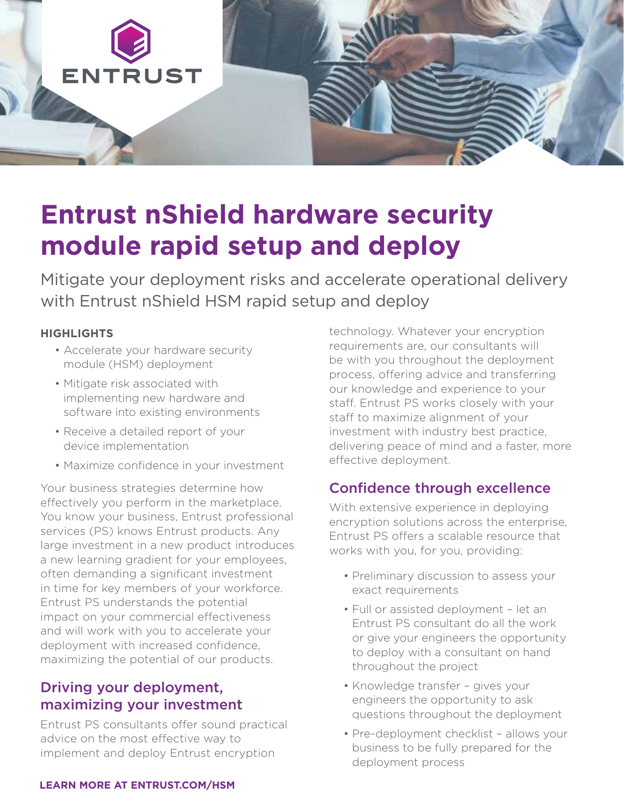

# **Entrust nShield hardware security module rapid setup and deploy**

Mitigate your deployment risks and accelerate operational delivery with Entrust nShield HSM rapid setup and deploy

#### **HIGHLIGHTS**

- Accelerate your hardware security module (HSM) deployment
- Mitigate risk associated with implementing new hardware and software into existing environments
- Receive a detailed report of your device implementation
- Maximize confidence in your investment

Your business strategies determine how effectively you perform in the marketplace. You know your business, Entrust professional services (PS) knows Entrust products. Any large investment in a new product introduces a new learning gradient for your employees, often demanding a significant investment in time for key members of your workforce. Entrust PS understands the potential impact on your commercial effectiveness and will work with you to accelerate your deployment with increased confidence, maximizing the potential of our products.

## Driving your deployment, maximizing your investment

Entrust PS consultants offer sound practical advice on the most effective way to implement and deploy Entrust encryption

technology. Whatever your encryption requirements are, our consultants will be with you throughout the deployment process, offering advice and transferring our knowledge and experience to your staff. Entrust PS works closely with your staff to maximize alignment of your investment with industry best practice, delivering peace of mind and a faster, more effective deployment.

## Confidence through excellence

With extensive experience in deploying encryption solutions across the enterprise, Entrust PS offers a scalable resource that works with you, for you, providing:

- Preliminary discussion to assess your exact requirements
- Full or assisted deployment let an Entrust PS consultant do all the work or give your engineers the opportunity to deploy with a consultant on hand throughout the project
- Knowledge transfer gives your engineers the opportunity to ask questions throughout the deployment
- Pre-deployment checklist allows your business to be fully prepared for the deployment process

#### **[LEARN MORE AT ENTRUST.COM/HSM](http://www.entrust.com/hsm)**